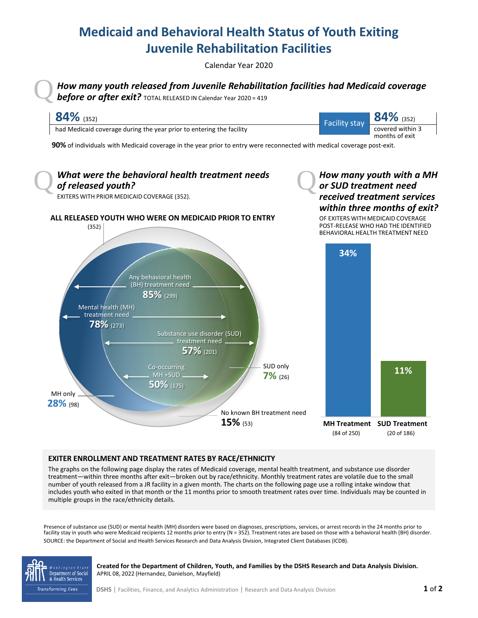## **Medicaid and Behavioral Health Status of Youth Exiting Juvenile Rehabilitation Facilities**

Calendar Year 2020

Q*How many youth released from Juvenile Rehabilitation facilities had Medicaid coverage before or after exit?* TOTAL RELEASED IN Calendar Year 2020 = 419



## **EXITER ENROLLMENT AND TREATMENT RATES BY RACE/ETHNICITY**

The graphs on the following page display the rates of Medicaid coverage, mental health treatment, and substance use disorder treatment—within three months after exit—broken out by race/ethnicity. Monthly treatment rates are volatile due to the small number of youth released from a JR facility in a given month. The charts on the following page use a rolling intake window that includes youth who exited in that month or the 11 months prior to smooth treatment rates over time. Individuals may be counted in multiple groups in the race/ethnicity details.

Presence of substance use (SUD) or mental health (MH) disorders were based on diagnoses, prescriptions, services, or arrest records in the 24 months prior to facility stay in youth who were Medicaid recipients 12 months prior to entry (N = 352). Treatment rates are based on those with a behavioral health (BH) disorder. SOURCE: the Department of Social and Health Services Research and Data Analysis Division, Integrated Client Databases (ICDB).



**Created for the Department of Children, Youth, and Families by the DSHS Research and Data Analysis Division.** APRIL 08, 2022 (Hernandez, Danielson, Mayfield)